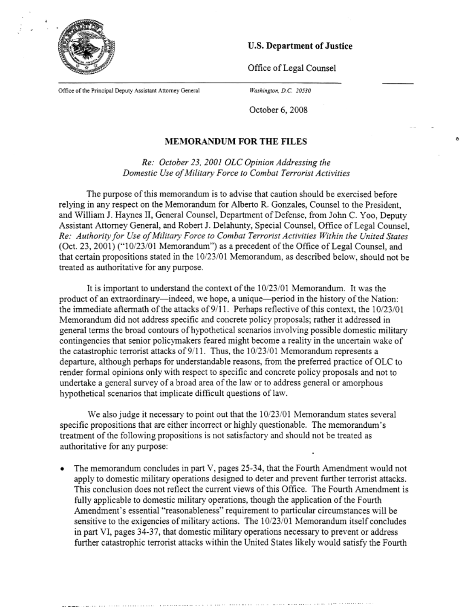

**U.S. Department of Justice** 

 $\delta$ 

Office of Legal Counsel

Office of the Principal Deputy Assistant Attorney General

*Washington. D.C 20530* 

October 6, 2008

## **MEMORANDUM FOR THE FILES**

*Re: October 23, 2001 OLC Opinion Addressing the Domestic Use of Military Force to Combat Terrorist Activities* 

The purpose of this memorandum is to advise that caution should be exercised before relying in any respect on the Memorandum for Alberto R. Gonzales, Counsel to the President, and William J. Haynes II, General Counsel, Department of Defense, from John C. Yoo, Deputy Assistant Attorney General, and Robert J. Delahunty, Special Counsel, Office of Legal Counsel, *Re: Authority for Use of Military Force to Combat Terrorist Activities Within the United States*  (Oct. 23, 2001) ("10/23/01 Memorandum") as a precedent of the Office of Legal Counsel, and that certain propositions stated in the 10/23/01 Memorandum, as described below, should not be treated as authoritative for any purpose.

It is important to understand the context of the 10/23/01 Memorandum. It was the product of an extraordinary—indeed, we hope, a unique—period in the history of the Nation: the immediate aftermath of the attacks of 9/11. Perhaps reflective of this context, the 10/23/01 Memorandum did not address specific and concrete policy proposals; rather it addressed in general terms the broad contours of hypothetical scenarios involving possible domestic military contingencies that senior policymakers feared might become a reality in the uncertain wake of the catastrophic terrorist attacks of 9/11. Thus, the 10/23/01 Memorandum represents a departure, although perhaps for understandable reasons, from the preferred practice of OLC to render formal opinions only with respect to specific and concrete policy proposals and not to undertake a general survey of a broad area of the law or to address general or amorphous hypothetical scenarios that implicate difficult questions of law.

We also judge it necessary to point out that the 10/23/01 Memorandum states several specific propositions that are either incorrect or highly questionable. The memorandum's treatment of the following propositions is not satisfactory and should not be treated as authoritative for any purpose:

• The memorandum concludes in part V, pages 25-34, that the Fourth Amendment would not apply to domestic military operations designed to deter and prevent further terrorist attacks. This conclusion does not reflect the current views of this Office. The Fourth Amendment is fully applicable to domestic military operations, though the application of the Fourth Amendment's essential "reasonableness" requirement to particular circumstances will be sensitive to the exigencies of military actions. The 10/23/01 Memorandum itself concludes in part VI, pages 34-37, that domestic military operations necessary to prevent or address further catastrophic terrorist attacks within the United States likely would satisfy the Fourth